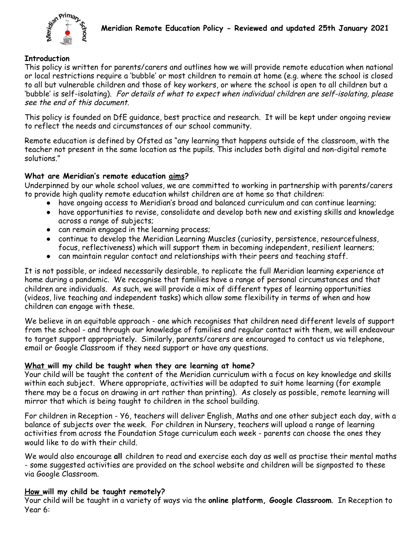

### **Introduction**

This policy is written for parents/carers and outlines how we will provide remote education when national or local restrictions require a 'bubble' or most children to remain at home (e.g. where the school is closed to all but vulnerable children and those of key workers, or where the school is open to all children but a 'bubble' is self-isolating). For details of what to expect when individual children are self-isolating, please see the end of this document.

This policy is founded on DfE guidance, best practice and research. It will be kept under ongoing review to reflect the needs and circumstances of our school community.

Remote education is defined by Ofsted as "any learning that happens outside of the classroom, with the teacher not present in the same location as the pupils. This includes both digital and non-digital remote solutions."

### **What are Meridian's remote education aims?**

Underpinned by our whole school values, we are committed to working in partnership with parents/carers to provide high quality remote education whilst children are at home so that children:

- have ongoing access to Meridian's broad and balanced curriculum and can continue learning;
- have opportunities to revise, consolidate and develop both new and existing skills and knowledge across a range of subjects;
- can remain engaged in the learning process;
- continue to develop the Meridian Learning Muscles (curiosity, persistence, resourcefulness, focus, reflectiveness) which will support them in becoming independent, resilient learners;
- can maintain regular contact and relationships with their peers and teaching staff.

It is not possible, or indeed necessarily desirable, to replicate the full Meridian learning experience at home during a pandemic. We recognise that families have a range of personal circumstances and that children are individuals. As such, we will provide a mix of different types of learning opportunities (videos, live teaching and independent tasks) which allow some flexibility in terms of when and how children can engage with these.

We believe in an equitable approach - one which recognises that children need different levels of support from the school - and through our knowledge of families and regular contact with them, we will endeavour to target support appropriately. Similarly, parents/carers are encouraged to contact us via telephone, email or Google Classroom if they need support or have any questions.

#### **What will my child be taught when they are learning at home?**

Your child will be taught the content of the Meridian curriculum with a focus on key knowledge and skills within each subject. Where appropriate, activities will be adapted to suit home learning (for example there may be a focus on drawing in art rather than printing). As closely as possible, remote learning will mirror that which is being taught to children in the school building.

For children in Reception - Y6, teachers will deliver English, Maths and one other subject each day, with a balance of subjects over the week. For children in Nursery, teachers will upload a range of learning activities from across the Foundation Stage curriculum each week - parents can choose the ones they would like to do with their child.

We would also encourage **all** children to read and exercise each day as well as practise their mental maths - some suggested activities are provided on the school website and children will be signposted to these via Google Classroom.

#### **How will my child be taught remotely?**

Your child will be taught in a variety of ways via the **online platform, Google Classroom**. In Reception to Year 6: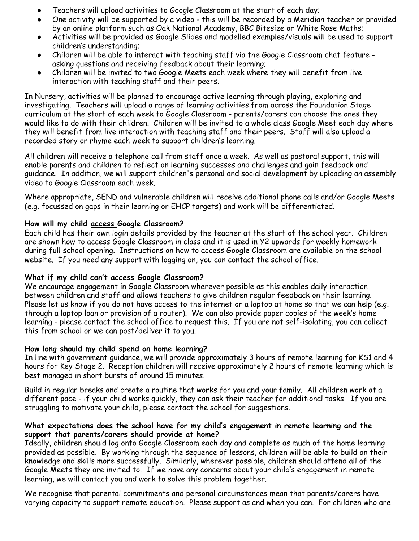- Teachers will upload activities to Google Classroom at the start of each day;
- One activity will be supported by a video this will be recorded by a Meridian teacher or provided by an online platform such as Oak National Academy, BBC Bitesize or White Rose Maths;
- Activities will be provided as Google Slides and modelled examples/visuals will be used to support children's understanding;
- Children will be able to interact with teaching staff via the Google Classroom chat feature asking questions and receiving feedback about their learning;
- Children will be invited to two Google Meets each week where they will benefit from live interaction with teaching staff and their peers.

In Nursery, activities will be planned to encourage active learning through playing, exploring and investigating. Teachers will upload a range of learning activities from across the Foundation Stage curriculum at the start of each week to Google Classroom - parents/carers can choose the ones they would like to do with their children. Children will be invited to a whole class Google Meet each day where they will benefit from live interaction with teaching staff and their peers. Staff will also upload a recorded story or rhyme each week to support children's learning.

All children will receive a telephone call from staff once a week. As well as pastoral support, this will enable parents and children to reflect on learning successes and challenges and gain feedback and guidance. In addition, we will support children's personal and social development by uploading an assembly video to Google Classroom each week.

Where appropriate, SEND and vulnerable children will receive additional phone calls and/or Google Meets (e.g. focussed on gaps in their learning or EHCP targets) and work will be differentiated.

# **How will my child access Google Classroom?**

Each child has their own login details provided by the teacher at the start of the school year. Children are shown how to access Google Classroom in class and it is used in Y2 upwards for weekly homework during full school opening. Instructions on how to access Google Classroom are available on the school website. If you need any support with logging on, you can contact the school office.

## **What if my child can't access Google Classroom?**

We encourage engagement in Google Classroom wherever possible as this enables daily interaction between children and staff and allows teachers to give children regular feedback on their learning. Please let us know if you do not have access to the internet or a laptop at home so that we can help (e.g. through a laptop loan or provision of a router). We can also provide paper copies of the week's home learning - please contact the school office to request this. If you are not self-isolating, you can collect this from school or we can post/deliver it to you.

# **How long should my child spend on home learning?**

In line with government guidance, we will provide approximately 3 hours of remote learning for KS1 and 4 hours for Key Stage 2. Reception children will receive approximately 2 hours of remote learning which is best managed in short bursts of around 15 minutes.

Build in regular breaks and create a routine that works for you and your family. All children work at a different pace - if your child works quickly, they can ask their teacher for additional tasks. If you are struggling to motivate your child, please contact the school for suggestions.

### **What expectations does the school have for my child's engagement in remote learning and the support that parents/carers should provide at home?**

Ideally, children should log onto Google Classroom each day and complete as much of the home learning provided as possible. By working through the sequence of lessons, children will be able to build on their knowledge and skills more successfully. Similarly, wherever possible, children should attend all of the Google Meets they are invited to. If we have any concerns about your child's engagement in remote learning, we will contact you and work to solve this problem together.

We recognise that parental commitments and personal circumstances mean that parents/carers have varying capacity to support remote education. Please support as and when you can. For children who are